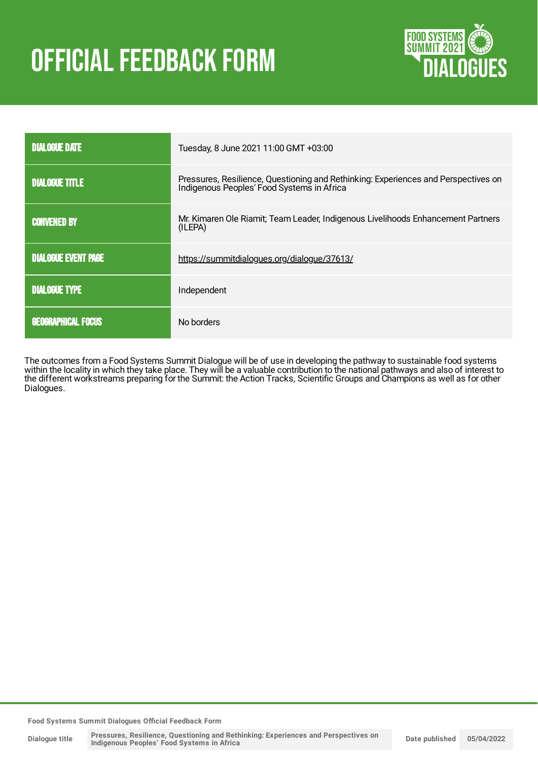# **OFFICIAL FEEDBACK FORM**



| <b>DIALOGUE DATE</b>       | Tuesday, 8 June 2021 11:00 GMT +03:00                                                                                         |
|----------------------------|-------------------------------------------------------------------------------------------------------------------------------|
| <b>DIALOGUE TITLE</b>      | Pressures, Resilience, Questioning and Rethinking: Experiences and Perspectives on Indigenous Peoples' Food Systems in Africa |
| <b>CONVENED BY</b>         | Mr. Kimaren Ole Riamit; Team Leader, Indigenous Livelihoods Enhancement Partners<br>(ILEPA)                                   |
| <b>DIALOGUE EVENT PAGE</b> | https://summitdialogues.org/dialogue/37613/                                                                                   |
| <b>DIALOGUE TYPE</b>       | Independent                                                                                                                   |
| <b>GEOGRAPHICAL FOCUS</b>  | No borders                                                                                                                    |

The outcomes from a Food Systems Summit Dialogue will be of use in developing the pathway to sustainable food systems within the locality in which they take place. They will be a valuable contribution to the national pathways and also of interest to the different workstreams preparing for the Summit: the Action Tracks, Scientific Groups and Champions as well as for other Dialogues.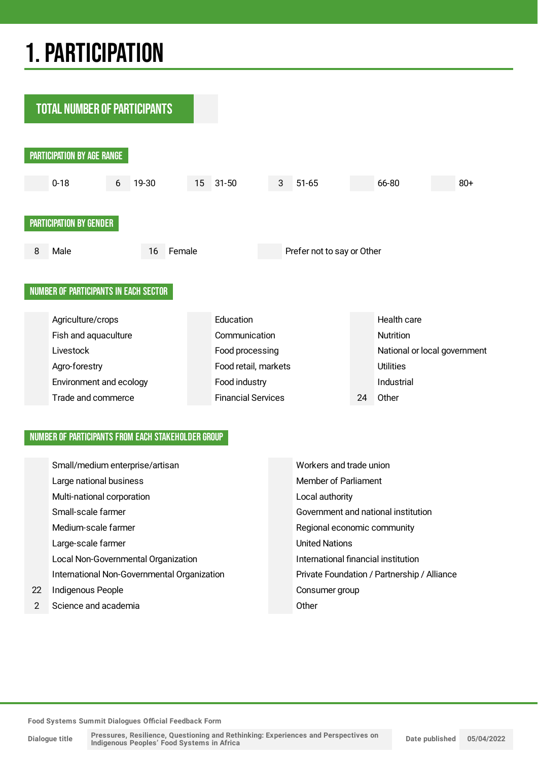## 1.PARTICIPATION

**TOTAL NUMBER OF PARTICIPANTS** PARTICIPATION BY AGE RANGE 0-18 6 19-30 15 31-50 3 51-65 66-80 80+ PARTICIPATION BY GENDER 8 Male 16 Female Prefer not to say or Other NUMBER OF PARTICIPANTS IN EACH SECTOR Agriculture/crops Education Education Health care Fish and aquaculture Communication Communication Livestock **Food processing** Food processing National or local government Agro-forestry **Example 2018** Food retail, markets Utilities Environment and ecology **Food industry** Food industry **Industrial** Trade and commerce Financial Services 24 Other

#### NUMBER OF PARTICIPANTS FROM EACH STAKEHOLDER GROUP

|               | Small/medium enterprise/artisan             | Workers and trade union                     |
|---------------|---------------------------------------------|---------------------------------------------|
|               | Large national business                     | Member of Parliament                        |
|               | Multi-national corporation                  | Local authority                             |
|               | Small-scale farmer                          | Government and national institution         |
|               | Medium-scale farmer                         | Regional economic community                 |
|               | Large-scale farmer                          | <b>United Nations</b>                       |
|               | Local Non-Governmental Organization         | International financial institution         |
|               | International Non-Governmental Organization | Private Foundation / Partnership / Alliance |
| 22.           | Indigenous People                           | Consumer group                              |
| $\mathcal{P}$ | Science and academia                        | Other                                       |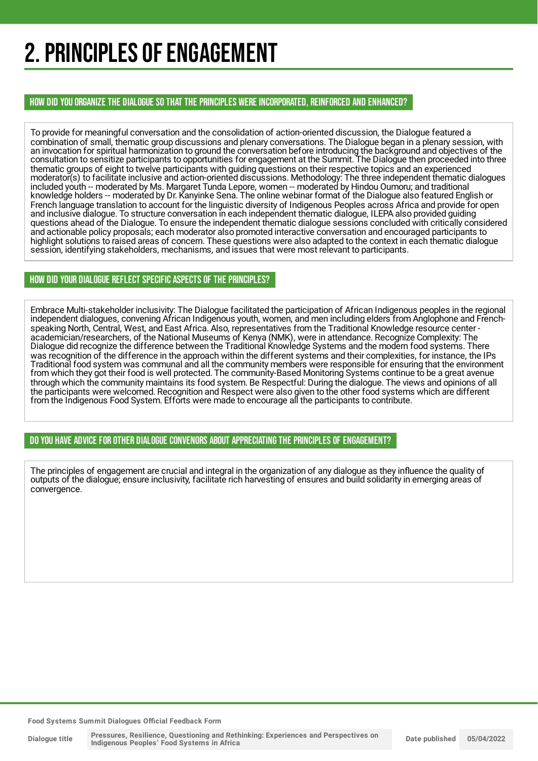## 2. PRINCIPLES OF ENGAGEMENT

HOW DID YOU ORGANIZE THE DIALOGUE SO THAT THE PRINCIPLES WERE INCORPORATED, REINFORCED AND ENHANCED?

To provide for meaningful conversation and the consolidation of action-oriented discussion, the Dialogue featured a combination of small, thematic group discussions and plenary conversations. The Dialogue began in a plenary session, with an invocation for spiritual harmonization to ground the conversation before introducing the background and objectives of the consultation to sensitize participants to opportunities for engagement at the Summit. The Dialogue then proceeded into three thematic groups of eight to twelve participants with guiding questions on their respective topics and an experienced moderator(s) to facilitate inclusive and action-oriented discussions. Methodology: The three independent thematic dialogues included youth -- moderated by Ms. Margaret Tunda Lepore, women -- moderated by Hindou Oumoru; and traditional knowledge holders -- moderated by Dr. Kanyinke Sena. The online webinar format of the Dialogue also featured English or French language translation to account for the linguistic diversity of Indigenous Peoples across Africa and provide for open and inclusive dialogue. To structure conversation in each independent thematic dialogue, ILEPA also provided guiding questions ahead of the Dialogue. To ensure the independent thematic dialogue sessions concluded with critically considered and actionable policy proposals; each moderator also promoted interactive conversation and encouraged participants to highlight solutions to raised areas of concern. These questions were also adapted to the context in each thematic dialogue session, identifying stakeholders, mechanisms, and issues that were most relevant to participants.

#### HOW DID YOUR DIALOGUE REFLECT SPECIFIC ASPECTS OF THE PRINCIPLES?

Embrace Multi-stakeholder inclusivity: The Dialogue facilitated the participation of African Indigenous peoples in the regional independent dialogues, convening African Indigenous youth, women, and men including elders from Anglophone and Frenchspeaking North, Central, West, and East Africa. Also, representatives from the Traditional Knowledge resource center academician/researchers, of the National Museums of Kenya (NMK), were in attendance. Recognize Complexity: The Dialogue did recognize the difference between the Traditional Knowledge Systems and the modern food systems. There was recognition of the difference in the approach within the different systems and their complexities, for instance, the IPs Traditional food system was communal and all the community members were responsible for ensuring that the environment from which they got their food is well protected. The community-Based Monitoring Systems continue to be a great avenue through which the community maintains its food system. Be Respectful: During the dialogue. The views and opinions of all the participants were welcomed. Recognition and Respect were also given to the other food systems which are different from the Indigenous Food System. Efforts were made to encourage all the participants to contribute.

DO YOU HAVE ADVICE FOR OTHER DIALOGUE CONVENORS ABOUT APPRECIATINGTHE PRINCIPLES OF ENGAGEMENT?

The principles of engagement are crucial and integral in the organization of any dialogue as they influence the quality of outputs of the dialogue; ensure inclusivity, facilitate rich harvesting of ensures and build solidarity in emerging areas of convergence.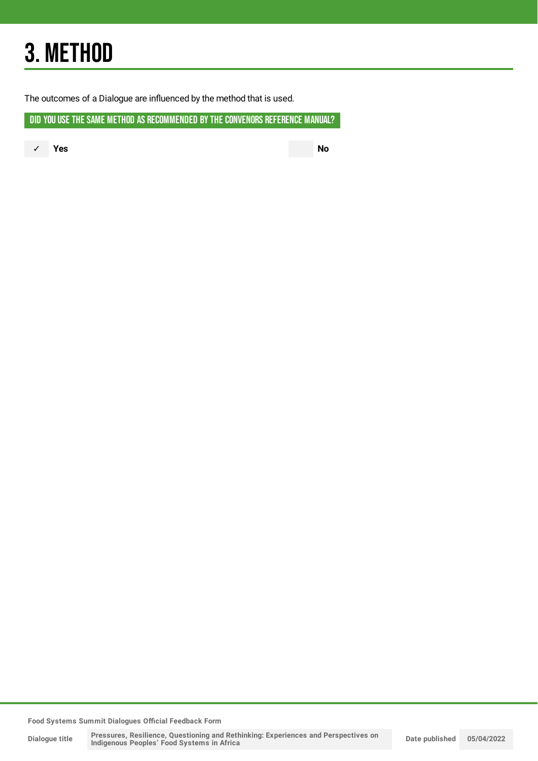## 3. METHOD

The outcomes of a Dialogue are influenced by the method that is used.

DID YOU USE THE SAME METHOD AS RECOMMENDED BY THE CONVENORS REFERENCE MANUAL?

✓ **Yes No**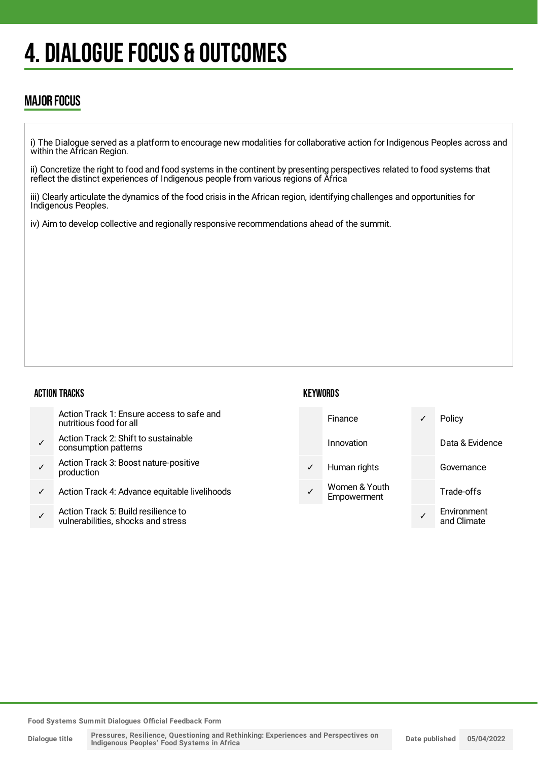## 4. DIALOGUE FOCUS & OUTCOMES

### MAJOR FOCUS

i) The Dialogue served as a platform to encourage new modalities for collaborative action for Indigenous Peoples across and within the African Region.

ii) Concretize the right to food and food systems in the continent by presenting perspectives related to food systems that reflect the distinct experiences of Indigenous people from various regions of Africa

iii) Clearly articulate the dynamics of the food crisis in the African region, identifying challenges and opportunities for Indigenous Peoples.

iv) Aim to develop collective and regionally responsive recommendations ahead of the summit.

#### ACTION TRACKS

| <b>KEYWORDS</b> |  |
|-----------------|--|
|-----------------|--|

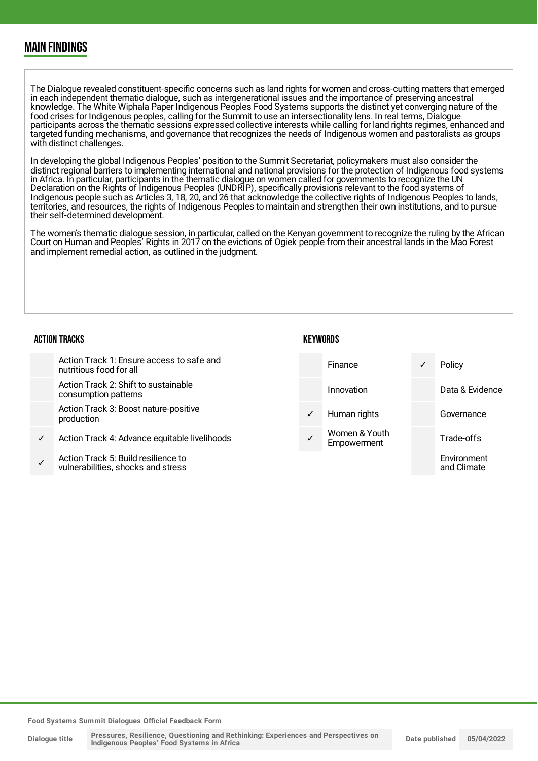### MAIN FINDINGS

The Dialogue revealed constituent-specific concerns such as land rights for women and cross-cutting matters that emerged in each independent thematic dialogue, such as intergenerational issues and the importance of preserving ancestral knowledge. The White Wiphala Paper Indigenous Peoples Food Systems supports the distinct yet converging nature of the food crises for Indigenous peoples, calling for the Summit to use an intersectionality lens. In real terms, Dialogue participants across the thematic sessions expressed collective interests while calling for land rights regimes, enhanced and targeted funding mechanisms, and governance that recognizes the needs of Indigenous women and pastoralists as groups with distinct challenges.

In developing the global Indigenous Peoples' position to the Summit Secretariat, policymakers must also consider the distinct regional barriers to implementing international and national provisions for the protection of Indigenous food systems in Africa. In particular, participants in the thematic dialogue on women called for governments to recognize the UN Declaration on the Rights of Indigenous Peoples (UNDRIP), specifically provisions relevant to the food systems of Indigenous people such as Articles 3, 18, 20, and 26 that acknowledge the collective rights of Indigenous Peoples to lands, territories, and resources, the rights of Indigenous Peoples to maintain and strengthen their own institutions, and to pursue their self-determined development.

The women's thematic dialogue session, in particular, called on the Kenyan government to recognize the ruling by the African Court on Human and Peoples' Rights in 2017 on the evictions of Ogiek people from their ancestral lands in the Mao Forest and implement remedial action, as outlined in the judgment.

#### ACTION TRACKS

|              | Action Track 1: Ensure access to safe and<br>nutritious food for all     |              | Finance                      | ✓ | Policy                     |
|--------------|--------------------------------------------------------------------------|--------------|------------------------------|---|----------------------------|
|              | Action Track 2: Shift to sustainable<br>consumption patterns             |              | Innovation                   |   | Data & Evidence            |
|              | Action Track 3: Boost nature-positive<br>production                      | $\checkmark$ | Human rights                 |   | Governance                 |
| $\checkmark$ | Action Track 4: Advance equitable livelihoods                            |              | Women & Youth<br>Empowerment |   | Trade-offs                 |
|              | Action Track 5: Build resilience to<br>wilperabilities shooks and stross |              |                              |   | Environment<br>and Climato |

**KEYWORDS** 

**Food Systems Summit Dialogues Official Feedback Form**

vulnerabilities, shocks and stress

and Climate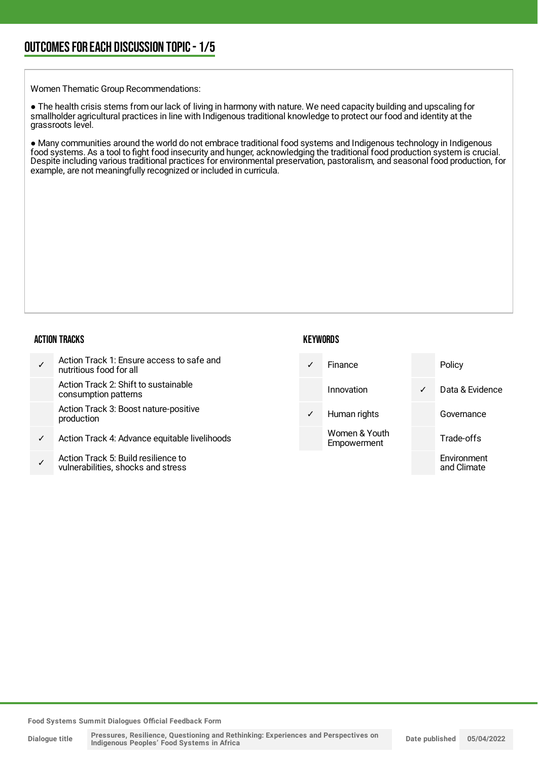Women Thematic Group Recommendations:

● The health crisis stems from our lack of living in harmony with nature. We need capacity building and upscaling for smallholder agricultural practices in line with Indigenous traditional knowledge to protect our food and identity at the grassroots level.

● Many communities around the world do not embrace traditional food systems and Indigenous technology in Indigenous food systems. As a tool to fight food insecurity and hunger, acknowledging the traditional food production system is crucial. Despite including various traditional practices for environmental preservation, pastoralism, and seasonal food production, for example, are not meaningfully recognized or included in curricula.

#### ACTION TRACKS

|   | Action Track 1: Ensure access to safe and<br>nutritious food for all      |              | Finance                      |              | Policy                     |
|---|---------------------------------------------------------------------------|--------------|------------------------------|--------------|----------------------------|
|   | Action Track 2: Shift to sustainable<br>consumption patterns              |              | Innovation                   | $\checkmark$ | Data & Evidence            |
|   | Action Track 3: Boost nature-positive<br>production                       | $\checkmark$ | Human rights                 |              | Governance                 |
| ✓ | Action Track 4: Advance equitable livelihoods                             |              | Women & Youth<br>Empowerment |              | Trade-offs                 |
|   | Action Track 5: Build resilience to<br>vulnerabilities, shocks and stress |              |                              |              | Environment<br>and Climate |

**KEYWORDS**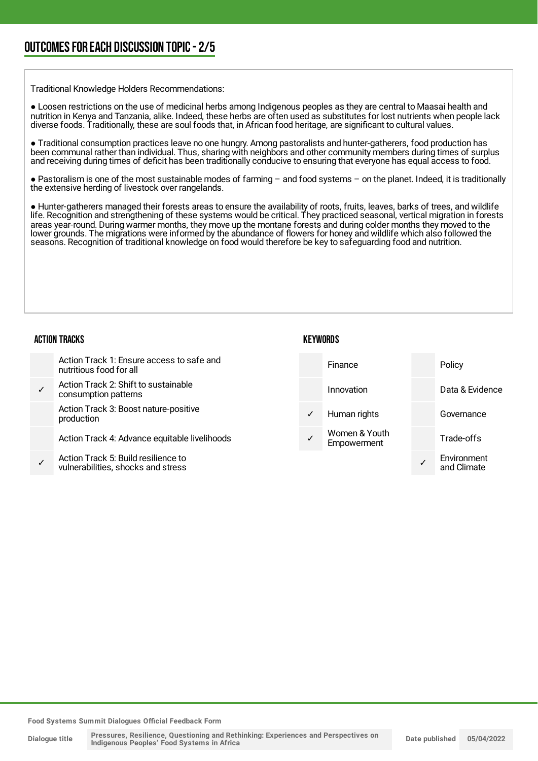Traditional Knowledge Holders Recommendations:

● Loosen restrictions on the use of medicinal herbs among Indigenous peoples as they are central to Maasai health and nutrition in Kenya and Tanzania, alike. Indeed, these herbs are often used as substitutes for lost nutrients when people lack diverse foods. Traditionally, these are soul foods that, in African food heritage, are significant to cultural values.

● Traditional consumption practices leave no one hungry. Among pastoralists and hunter-gatherers, food production has been communal rather than individual. Thus, sharing with neighbors and other community members during times of surplus and receiving during times of deficit has been traditionally conducive to ensuring that everyone has equal access to food.

● Pastoralism is one of the most sustainable modes of farming – and food systems – on the planet. Indeed, it is traditionally the extensive herding of livestock over rangelands.

● Hunter-gatherers managed their forests areas to ensure the availability of roots, fruits, leaves, barks of trees, and wildlife life. Recognition and strengthening of these systems would be critical. They practiced seasonal, vertical migration in forests areas year-round. During warmer months, they move up the montane forests and during colder months they moved to the lower grounds. The migrations were informed by the abundance of flowers for honey and wildlife which also followed the seasons. Recognition of traditional knowledge on food would therefore be key to safeguarding food and nutrition.

#### ACTION TRACKS

| Action Track 1: Ensure access to safe and<br>nutritious food for all      |              | Finance                      | Policy                     |
|---------------------------------------------------------------------------|--------------|------------------------------|----------------------------|
| Action Track 2: Shift to sustainable<br>consumption patterns              |              | Innovation                   | Data & Evidence            |
| Action Track 3: Boost nature-positive<br>production                       | $\checkmark$ | Human rights                 | Governance                 |
| Action Track 4: Advance equitable livelihoods                             |              | Women & Youth<br>Empowerment | Trade-offs                 |
| Action Track 5: Build resilience to<br>vulnerabilities, shocks and stress |              |                              | Environment<br>and Climate |

**KEYWORDS**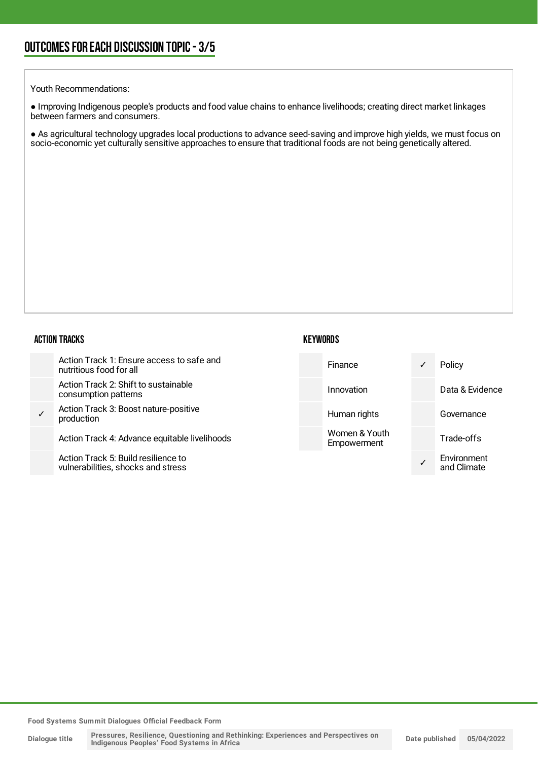#### Youth Recommendations:

● Improving Indigenous people's products and food value chains to enhance livelihoods; creating direct market linkages between farmers and consumers.

● As agricultural technology upgrades local productions to advance seed-saving and improve high yields, we must focus on socio-economic yet culturally sensitive approaches to ensure that traditional foods are not being genetically altered.

### $\overline{\phantom{a}}$

|   | <b>ACTION TRACKS</b>                                                      | <b>KEYWORDS</b> |                              |                            |
|---|---------------------------------------------------------------------------|-----------------|------------------------------|----------------------------|
|   | Action Track 1: Ensure access to safe and<br>nutritious food for all      |                 | Finance                      | Policy                     |
|   | Action Track 2: Shift to sustainable<br>consumption patterns              |                 | Innovation                   | Data & Evidence            |
| ✓ | Action Track 3: Boost nature-positive<br>production                       |                 | Human rights                 | Governance                 |
|   | Action Track 4: Advance equitable livelihoods                             |                 | Women & Youth<br>Empowerment | Trade-offs                 |
|   | Action Track 5: Build resilience to<br>wilnerabilities, shooks and stress |                 |                              | Environment<br>and Climato |

and Climate

**Food Systems Summit Dialogues Official Feedback Form**

vulnerabilities, shocks and stress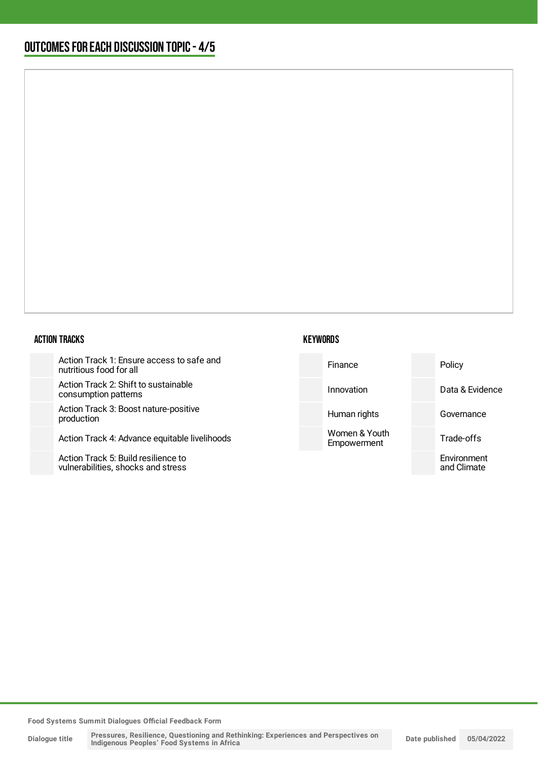#### ACTION TRACKS

Action Track 1: Ensure access to safe nutritious food for all

Action Track 2: Shift to sustainable consumption patterns

Action Track 3: Boost nature-positive production

Action Track 4: Advance equitable livel

Action Track 5: Build resilience to vulnerabilities, shocks and stress

| <b>KEYWORDS</b> |
|-----------------|
|-----------------|

| and     | Finance                      | Policy                     |
|---------|------------------------------|----------------------------|
|         | Innovation                   | Data & Evidence            |
|         | Human rights                 | Governance                 |
| lihoods | Women & Youth<br>Empowerment | Trade-offs                 |
|         |                              | Environment<br>and Climate |
|         |                              |                            |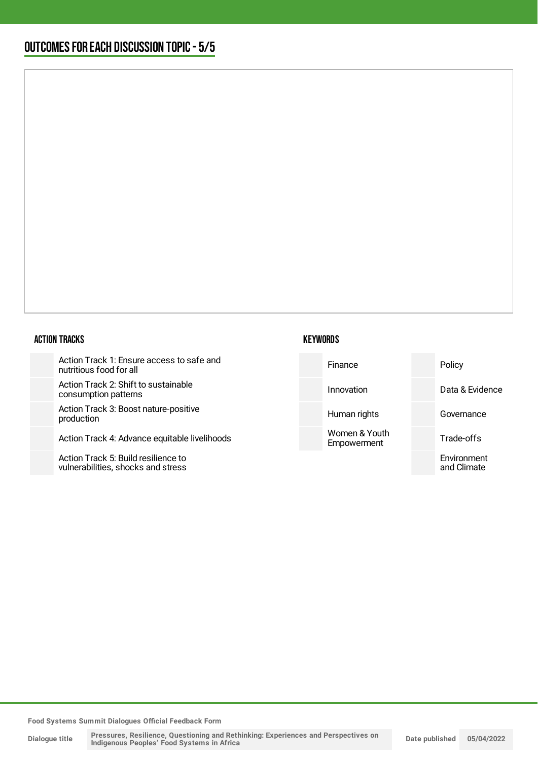#### ACTION TRACKS

Action Track 1: Ensure access to safe nutritious food for all

Action Track 2: Shift to sustainable consumption patterns

Action Track 3: Boost nature-positive production

Action Track 4: Advance equitable livel

Action Track 5: Build resilience to vulnerabilities, shocks and stress

| <b>KEYWORDS</b> |  |
|-----------------|--|
|-----------------|--|

| and     | Finance                      | Policy                     |
|---------|------------------------------|----------------------------|
|         | Innovation                   | Data & Evidence            |
|         | Human rights                 | Governance                 |
| lihoods | Women & Youth<br>Empowerment | Trade-offs                 |
|         |                              | Environment<br>and Climate |
|         |                              |                            |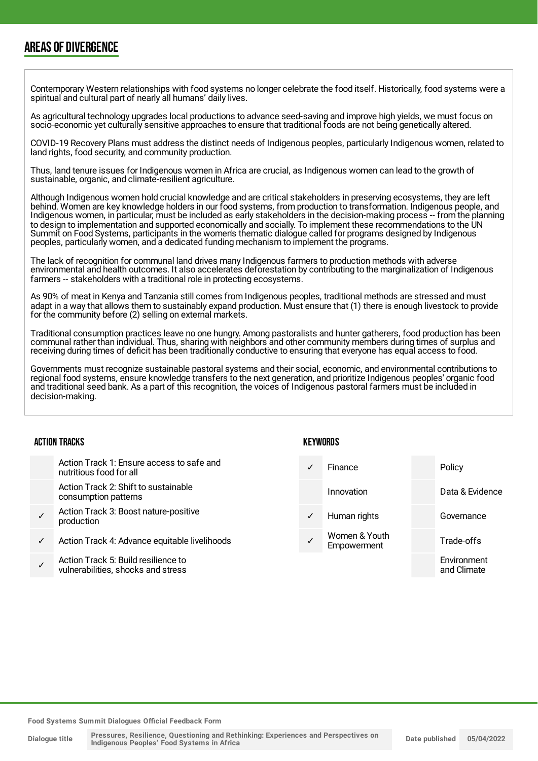### AREAS OF DIVERGENCE

Contemporary Western relationships with food systems no longer celebrate the food itself. Historically, food systems were a spiritual and cultural part of nearly all humans' daily lives.

As agricultural technology upgrades local productions to advance seed-saving and improve high yields, we must focus on socio-economic yet culturally sensitive approaches to ensure that traditional foods are not being genetically altered.

COVID-19 Recovery Plans must address the distinct needs of Indigenous peoples, particularly Indigenous women, related to land rights, food security, and community production.

Thus, land tenure issues for Indigenous women in Africa are crucial, as Indigenous women can lead to the growth of sustainable, organic, and climate-resilient agriculture.

Although Indigenous women hold crucial knowledge and are critical stakeholders in preserving ecosystems, they are left behind. Women are key knowledge holders in our food systems, from production to transformation. Indigenous people, and Indigenous women, in particular, must be included as early stakeholders in the decision-making process -- from the planning to design to implementation and supported economically and socially. To implement these recommendations to the UN Summit on Food Systems, participants in the women's thematic dialogue called for programs designed by Indigenous peoples, particularly women, and a dedicated funding mechanism to implement the programs.

The lack of recognition for communal land drives many Indigenous farmers to production methods with adverse environmental and health outcomes. It also accelerates deforestation by contributing to the marginalization of Indigenous farmers -- stakeholders with a traditional role in protecting ecosystems.

As 90% of meat in Kenya and Tanzania still comes from Indigenous peoples, traditional methods are stressed and must adapt in a way that allows them to sustainably expand production. Must ensure that (1) there is enough livestock to provide for the community before (2) selling on external markets.

Traditional consumption practices leave no one hungry. Among pastoralists and hunter gatherers, food production has been communal rather than individual. Thus, sharing with neighbors and other community members during times of surplus and receiving during times of deficit has been traditionally conductive to ensuring that everyone has equal access to food.

Governments must recognize sustainable pastoral systems and their social, economic, and environmental contributions to regional food systems, ensure knowledge transfers to the next generation, and prioritize Indigenous peoples' organic food and traditional seed bank. As a part of this recognition, the voices of Indigenous pastoral farmers must be included in decision-making.

#### ACTION TRACKS

- Action Track 1: Ensure access to safe and nutritious food for all
- Action Track 2: Shift to sustainable consumption patterns
- ✓ Action Track 3: Boost nature-positive production
- Action Track 4: Advance equitable livelihoods
- ✓ Action Track 5: Build resilience to vulnerabilities, shocks and stress

#### **KFYWORDS**

|   | Finance                      | Policy                     |
|---|------------------------------|----------------------------|
|   | Innovation                   | Data & Evidence            |
| ✓ | Human rights                 | Governance                 |
|   | Women & Youth<br>Empowerment | Trade-offs                 |
|   |                              | Environment<br>and Climate |